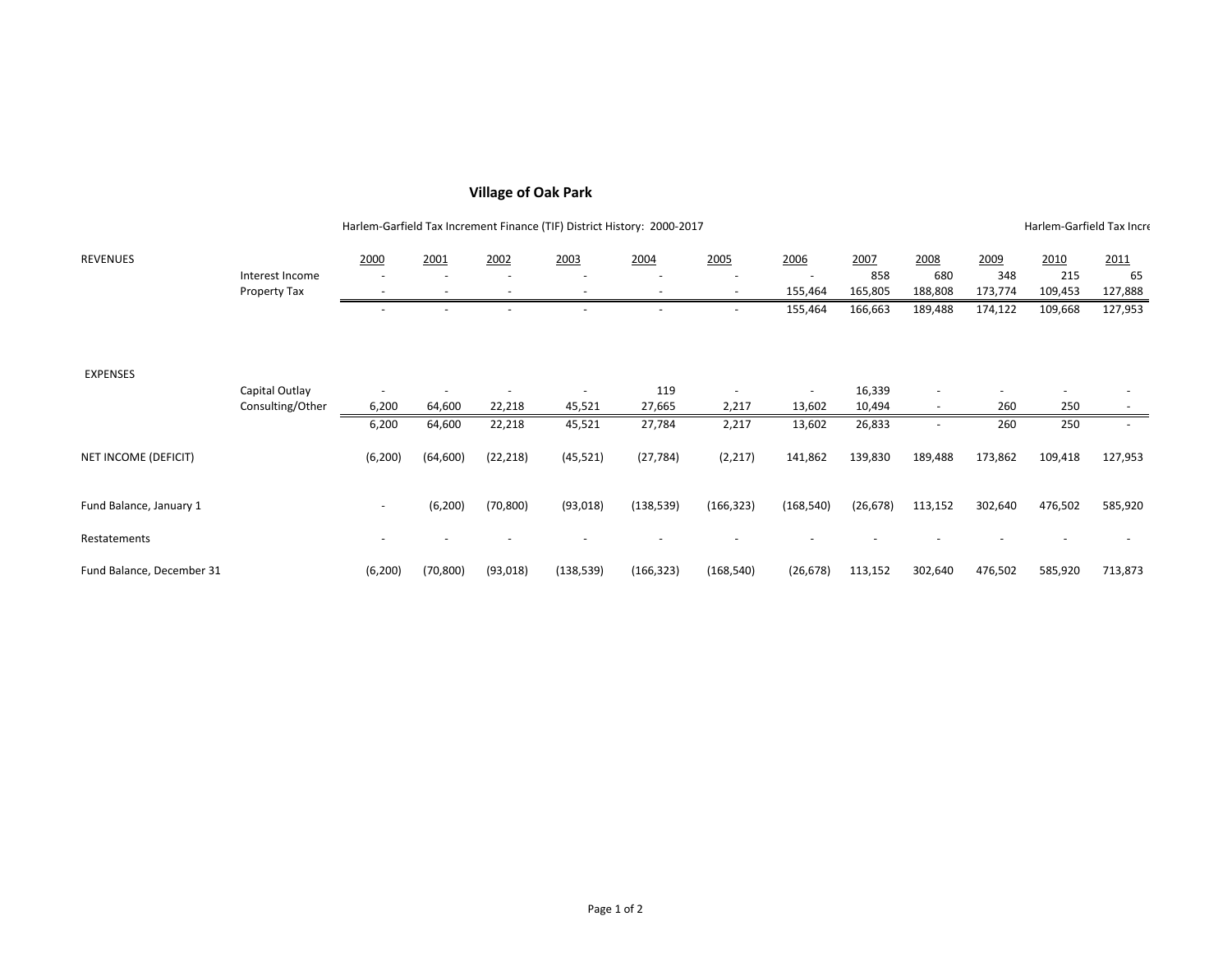## **Village of Oak Park**

|                           |                  | Harlem-Garfield Tax Increment Finance (TIF) District History: 2000-2017 |           |           |            |            |            |            |           | Harlem-Garfield Tax Incre |         |         |         |
|---------------------------|------------------|-------------------------------------------------------------------------|-----------|-----------|------------|------------|------------|------------|-----------|---------------------------|---------|---------|---------|
| <b>REVENUES</b>           |                  | 2000                                                                    | 2001      | 2002      | 2003       | 2004       | 2005       | 2006       | 2007      | 2008                      | 2009    | 2010    | 2011    |
|                           | Interest Income  |                                                                         |           |           |            |            |            |            | 858       | 680                       | 348     | 215     | 65      |
|                           | Property Tax     |                                                                         |           |           |            |            |            | 155,464    | 165,805   | 188,808                   | 173,774 | 109,453 | 127,888 |
|                           |                  |                                                                         |           |           |            |            |            | 155,464    | 166,663   | 189,488                   | 174,122 | 109,668 | 127,953 |
| <b>EXPENSES</b>           |                  |                                                                         |           |           |            |            |            |            |           |                           |         |         |         |
|                           | Capital Outlay   |                                                                         |           |           |            | 119        |            |            | 16,339    |                           |         |         |         |
|                           | Consulting/Other | 6,200                                                                   | 64,600    | 22,218    | 45,521     | 27,665     | 2,217      | 13,602     | 10,494    | $\overline{\phantom{a}}$  | 260     | 250     |         |
|                           |                  | 6,200                                                                   | 64,600    | 22,218    | 45,521     | 27,784     | 2,217      | 13,602     | 26,833    | ٠                         | 260     | 250     |         |
| NET INCOME (DEFICIT)      |                  | (6, 200)                                                                | (64, 600) | (22, 218) | (45, 521)  | (27, 784)  | (2, 217)   | 141,862    | 139,830   | 189,488                   | 173,862 | 109,418 | 127,953 |
| Fund Balance, January 1   |                  | $\overline{\phantom{a}}$                                                | (6, 200)  | (70, 800) | (93,018)   | (138, 539) | (166, 323) | (168, 540) | (26, 678) | 113,152                   | 302,640 | 476,502 | 585,920 |
| Restatements              |                  |                                                                         |           |           |            |            |            |            |           |                           |         |         |         |
| Fund Balance, December 31 |                  | (6, 200)                                                                | (70, 800) | (93,018)  | (138, 539) | (166, 323) | (168, 540) | (26, 678)  | 113,152   | 302,640                   | 476,502 | 585,920 | 713,873 |